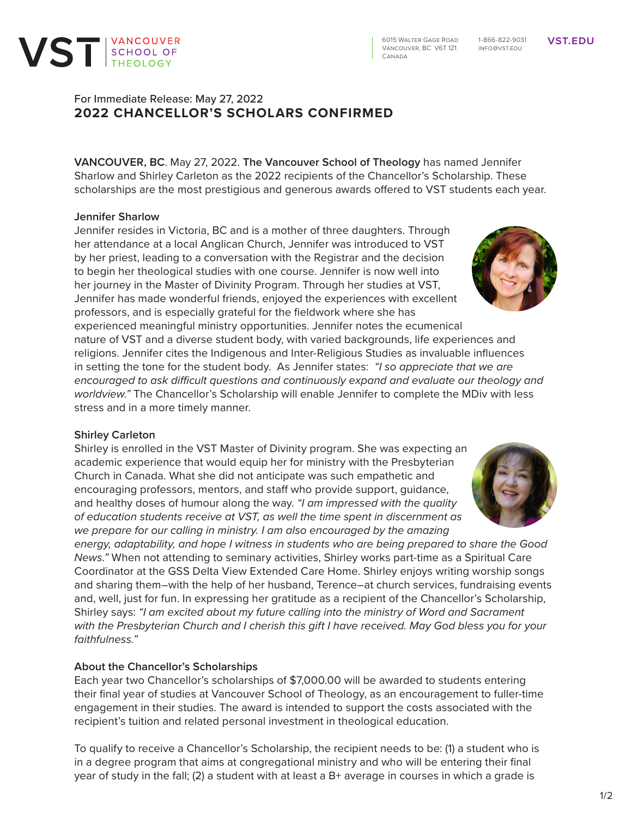# For Immediate Release: May 27, 2022 **2022 CHANCELLOR'S SCHOLARS CONFIRMED**

**VANCOUVER, BC**. May 27, 2022. **The Vancouver School of Theology** has named Jennifer Sharlow and Shirley Carleton as the 2022 recipients of the Chancellor's Scholarship. These scholarships are the most prestigious and generous awards offered to VST students each year.

## **Jennifer Sharlow**

Jennifer resides in Victoria, BC and is a mother of three daughters. Through her attendance at a local Anglican Church, Jennifer was introduced to VST by her priest, leading to a conversation with the Registrar and the decision to begin her theological studies with one course. Jennifer is now well into her journey in the Master of Divinity Program. Through her studies at VST, Jennifer has made wonderful friends, enjoyed the experiences with excellent professors, and is especially grateful for the fieldwork where she has experienced meaningful ministry opportunities. Jennifer notes the ecumenical

nature of VST and a diverse student body, with varied backgrounds, life experiences and religions. Jennifer cites the Indigenous and Inter-Religious Studies as invaluable influences in setting the tone for the student body. As Jennifer states: *"I so appreciate that we are encouraged to ask difficult questions and continuously expand and evaluate our theology and worldview."* The Chancellor's Scholarship will enable Jennifer to complete the MDiv with less stress and in a more timely manner.

## **Shirley Carleton**

Shirley is enrolled in the VST Master of Divinity program. She was expecting an academic experience that would equip her for ministry with the Presbyterian Church in Canada. What she did not anticipate was such empathetic and encouraging professors, mentors, and staff who provide support, guidance, and healthy doses of humour along the way. *"I am impressed with the quality of education students receive at VST, as well the time spent in discernment as we prepare for our calling in ministry. I am also encouraged by the amazing* 

*energy, adaptability, and hope I witness in students who are being prepared to share the Good News."* When not attending to seminary activities, Shirley works part-time as a Spiritual Care Coordinator at the GSS Delta View Extended Care Home. Shirley enjoys writing worship songs and sharing them–with the help of her husband, Terence–at church services, fundraising events and, well, just for fun. In expressing her gratitude as a recipient of the Chancellor's Scholarship, Shirley says: *"I am excited about my future calling into the ministry of Word and Sacrament with the Presbyterian Church and I cherish this gift I have received. May God bless you for your faithfulness."*

## **About the Chancellor's Scholarships**

Each year two Chancellor's scholarships of \$7,000.00 will be awarded to students entering their final year of studies at Vancouver School of Theology, as an encouragement to fuller-time engagement in their studies. The award is intended to support the costs associated with the recipient's tuition and related personal investment in theological education.

To qualify to receive a Chancellor's Scholarship, the recipient needs to be: (1) a student who is in a degree program that aims at congregational ministry and who will be entering their final year of study in the fall; (2) a student with at least a B+ average in courses in which a grade is







1-866-822-9031 info@vst.edu